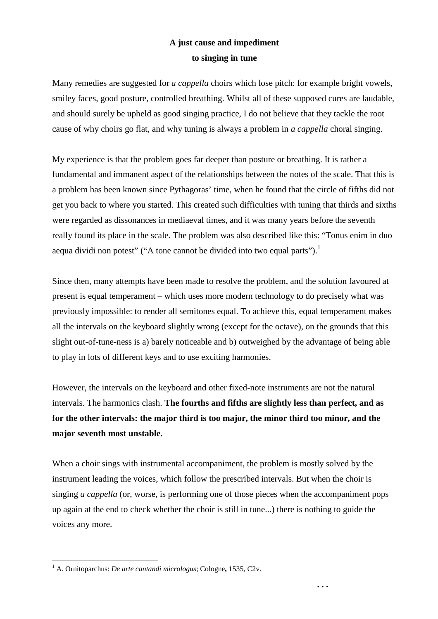## **A just cause and impediment to singing in tune**

Many remedies are suggested for *a cappella* choirs which lose pitch: for example bright vowels, smiley faces, good posture, controlled breathing. Whilst all of these supposed cures are laudable, and should surely be upheld as good singing practice, I do not believe that they tackle the root cause of why choirs go flat, and why tuning is always a problem in *a cappella* choral singing.

My experience is that the problem goes far deeper than posture or breathing. It is rather a fundamental and immanent aspect of the relationships between the notes of the scale. That this is a problem has been known since Pythagoras' time, when he found that the circle of fifths did not get you back to where you started. This created such difficulties with tuning that thirds and sixths were regarded as dissonances in mediaeval times, and it was many years before the seventh really found its place in the scale. The problem was also described like this: "Tonus enim in duo aequa dividi non potest" ("A tone cannot be divided into two equal parts").<sup>1</sup>

Since then, many attempts have been made to resolve the problem, and the solution favoured at present is equal temperament – which uses more modern technology to do precisely what was previously impossible: to render all semitones equal. To achieve this, equal temperament makes all the intervals on the keyboard slightly wrong (except for the octave), on the grounds that this slight out-of-tune-ness is a) barely noticeable and b) outweighed by the advantage of being able to play in lots of different keys and to use exciting harmonies.

However, the intervals on the keyboard and other fixed-note instruments are not the natural intervals. The harmonics clash. **The fourths and fifths are slightly less than perfect, and as for the other intervals: the major third is too major, the minor third too minor, and the major seventh most unstable.** 

When a choir sings with instrumental accompaniment, the problem is mostly solved by the instrument leading the voices, which follow the prescribed intervals. But when the choir is singing *a cappella* (or, worse, is performing one of those pieces when the accompaniment pops up again at the end to check whether the choir is still in tune...) there is nothing to guide the voices any more.

**. . .**

 $\overline{a}$ 1 A. Ornitoparchus: *De arte cantandi micrologus*; Cologne**,** 1535, C2v.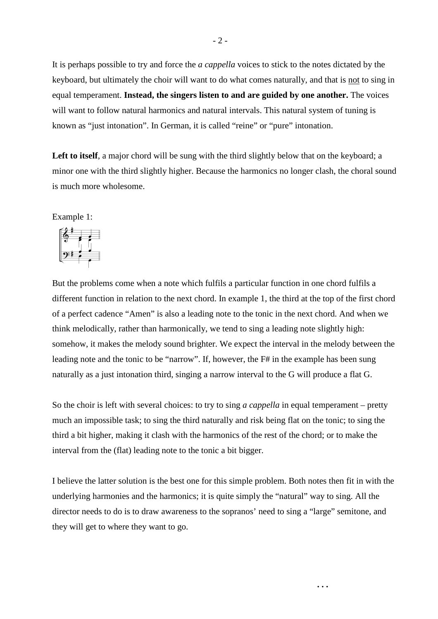It is perhaps possible to try and force the *a cappella* voices to stick to the notes dictated by the keyboard, but ultimately the choir will want to do what comes naturally, and that is not to sing in equal temperament. **Instead, the singers listen to and are guided by one another.** The voices will want to follow natural harmonics and natural intervals. This natural system of tuning is known as "just intonation". In German, it is called "reine" or "pure" intonation.

Left to itself, a major chord will be sung with the third slightly below that on the keyboard; a minor one with the third slightly higher. Because the harmonics no longer clash, the choral sound is much more wholesome.

Example 1:



But the problems come when a note which fulfils a particular function in one chord fulfils a different function in relation to the next chord. In example 1, the third at the top of the first chord of a perfect cadence "Amen" is also a leading note to the tonic in the next chord. And when we think melodically, rather than harmonically, we tend to sing a leading note slightly high: somehow, it makes the melody sound brighter. We expect the interval in the melody between the leading note and the tonic to be "narrow". If, however, the F# in the example has been sung naturally as a just intonation third, singing a narrow interval to the G will produce a flat G.

So the choir is left with several choices: to try to sing *a cappella* in equal temperament – pretty much an impossible task; to sing the third naturally and risk being flat on the tonic; to sing the third a bit higher, making it clash with the harmonics of the rest of the chord; or to make the interval from the (flat) leading note to the tonic a bit bigger.

I believe the latter solution is the best one for this simple problem. Both notes then fit in with the underlying harmonies and the harmonics; it is quite simply the "natural" way to sing. All the director needs to do is to draw awareness to the sopranos' need to sing a "large" semitone, and they will get to where they want to go.

**. . .**

- 2 -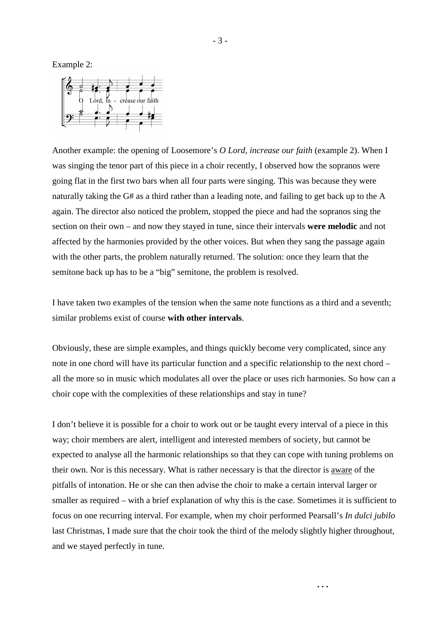Example 2:



Another example: the opening of Loosemore's *O Lord, increase our faith* (example 2). When I was singing the tenor part of this piece in a choir recently, I observed how the sopranos were going flat in the first two bars when all four parts were singing. This was because they were naturally taking the G# as a third rather than a leading note, and failing to get back up to the A again. The director also noticed the problem, stopped the piece and had the sopranos sing the section on their own – and now they stayed in tune, since their intervals **were melodic** and not affected by the harmonies provided by the other voices. But when they sang the passage again with the other parts, the problem naturally returned. The solution: once they learn that the semitone back up has to be a "big" semitone, the problem is resolved.

I have taken two examples of the tension when the same note functions as a third and a seventh; similar problems exist of course **with other intervals**.

Obviously, these are simple examples, and things quickly become very complicated, since any note in one chord will have its particular function and a specific relationship to the next chord – all the more so in music which modulates all over the place or uses rich harmonies. So how can a choir cope with the complexities of these relationships and stay in tune?

I don't believe it is possible for a choir to work out or be taught every interval of a piece in this way; choir members are alert, intelligent and interested members of society, but cannot be expected to analyse all the harmonic relationships so that they can cope with tuning problems on their own. Nor is this necessary. What is rather necessary is that the director is aware of the pitfalls of intonation. He or she can then advise the choir to make a certain interval larger or smaller as required – with a brief explanation of why this is the case. Sometimes it is sufficient to focus on one recurring interval. For example, when my choir performed Pearsall's *In dulci jubilo*  last Christmas, I made sure that the choir took the third of the melody slightly higher throughout, and we stayed perfectly in tune.

**. . .**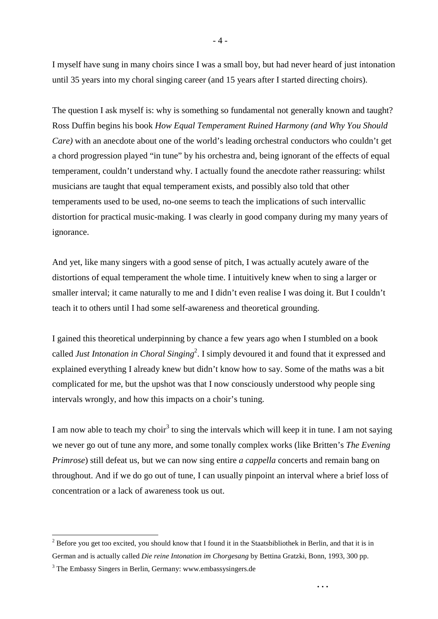I myself have sung in many choirs since I was a small boy, but had never heard of just intonation until 35 years into my choral singing career (and 15 years after I started directing choirs).

The question I ask myself is: why is something so fundamental not generally known and taught? Ross Duffin begins his book *How Equal Temperament Ruined Harmony (and Why You Should Care)* with an anecdote about one of the world's leading orchestral conductors who couldn't get a chord progression played "in tune" by his orchestra and, being ignorant of the effects of equal temperament, couldn't understand why. I actually found the anecdote rather reassuring: whilst musicians are taught that equal temperament exists, and possibly also told that other temperaments used to be used, no-one seems to teach the implications of such intervallic distortion for practical music-making. I was clearly in good company during my many years of ignorance.

And yet, like many singers with a good sense of pitch, I was actually acutely aware of the distortions of equal temperament the whole time. I intuitively knew when to sing a larger or smaller interval; it came naturally to me and I didn't even realise I was doing it. But I couldn't teach it to others until I had some self-awareness and theoretical grounding.

I gained this theoretical underpinning by chance a few years ago when I stumbled on a book called *Just Intonation in Choral Singing*<sup>2</sup> . I simply devoured it and found that it expressed and explained everything I already knew but didn't know how to say. Some of the maths was a bit complicated for me, but the upshot was that I now consciously understood why people sing intervals wrongly, and how this impacts on a choir's tuning.

I am now able to teach my choir<sup>3</sup> to sing the intervals which will keep it in tune. I am not saying we never go out of tune any more, and some tonally complex works (like Britten's *The Evening Primrose*) still defeat us, but we can now sing entire *a cappella* concerts and remain bang on throughout. And if we do go out of tune, I can usually pinpoint an interval where a brief loss of concentration or a lack of awareness took us out.

**. . .**

 $\overline{a}$ 

 $2^{2}$  Before you get too excited, you should know that I found it in the Staatsbibliothek in Berlin, and that it is in German and is actually called *Die reine Intonation im Chorgesang* by Bettina Gratzki, Bonn, 1993, 300 pp.

<sup>&</sup>lt;sup>3</sup> The Embassy Singers in Berlin, Germany: www.embassysingers.de